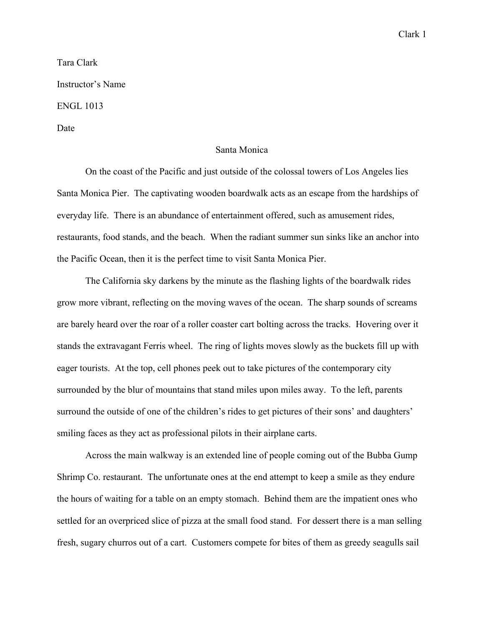## Clark 1

## Tara Clark Instructor's Name ENGL 1013 Date

## Santa Monica

On the coast of the Pacific and just outside of the colossal towers of Los Angeles lies Santa Monica Pier. The captivating wooden boardwalk acts as an escape from the hardships of everyday life. There is an abundance of entertainment offered, such as amusement rides, restaurants, food stands, and the beach. When the radiant summer sun sinks like an anchor into the Pacific Ocean, then it is the perfect time to visit Santa Monica Pier.

The California sky darkens by the minute as the flashing lights of the boardwalk rides grow more vibrant, reflecting on the moving waves of the ocean. The sharp sounds of screams are barely heard over the roar of a roller coaster cart bolting across the tracks. Hovering over it stands the extravagant Ferris wheel. The ring of lights moves slowly as the buckets fill up with eager tourists. At the top, cell phones peek out to take pictures of the contemporary city surrounded by the blur of mountains that stand miles upon miles away. To the left, parents surround the outside of one of the children's rides to get pictures of their sons' and daughters' smiling faces as they act as professional pilots in their airplane carts.

Across the main walkway is an extended line of people coming out of the Bubba Gump Shrimp Co. restaurant. The unfortunate ones at the end attempt to keep a smile as they endure the hours of waiting for a table on an empty stomach. Behind them are the impatient ones who settled for an overpriced slice of pizza at the small food stand. For dessert there is a man selling fresh, sugary churros out of a cart. Customers compete for bites of them as greedy seagulls sail